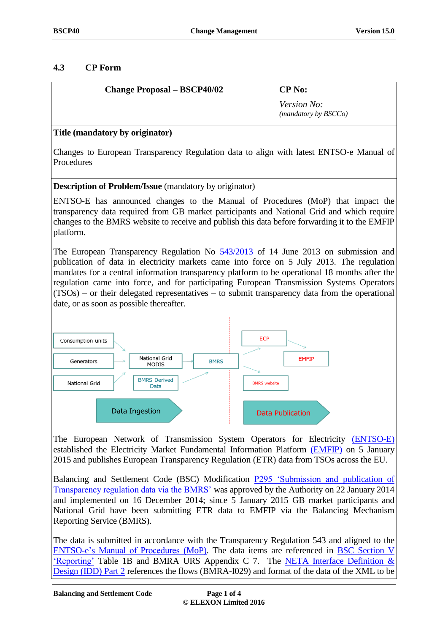# **4.3 CP Form**

| <b>Change Proposal – BSCP40/02</b> | CP No:                                     |
|------------------------------------|--------------------------------------------|
|                                    | <i>Version No:</i><br>(mandatory by BSCCo) |

## **Title (mandatory by originator)**

Changes to European Transparency Regulation data to align with latest ENTSO-e Manual of **Procedures** 

## **Description of Problem/Issue** (mandatory by originator)

ENTSO-E has announced changes to the Manual of Procedures (MoP) that impact the transparency data required from GB market participants and National Grid and which require changes to the BMRS website to receive and publish this data before forwarding it to the EMFIP platform.

The European Transparency Regulation No  $\frac{543}{2013}$  of 14 June 2013 on submission and publication of data in electricity markets came into force on 5 July 2013. The regulation mandates for a central information transparency platform to be operational 18 months after the regulation came into force, and for participating European Transmission Systems Operators (TSOs) – or their delegated representatives – to submit transparency data from the operational date, or as soon as possible thereafter.



[The European Network of Transmission System Operators for Electricity \(ENTSO-E\)](https://www.entsoe.eu/Pages/default.aspx) established the [Electricity Market Fundamental Information Platform \(EMFIP\)](http://osp.energinet.dk/SiteCollectionDocuments/Danske%20dokumenter/El/8.%20Intro%20til%20implementering%20af%20transparensforordning.pdf) on 5 January 2015 and publishe[s European Transparency Regulation \(ETR\)](https://www.entsoe.eu/data/entso-e-transparency-platform/Pages/default.aspx) data from TSOs across the EU.

Balancing and Settlement Code (BSC) Modification **P295** 'Submission and publication of [Transparency regulation data via the BMRS'](https://www.elexon.co.uk/mod-proposal/p295/) was approved by the Authority on 22 January 2014 and implemented on 16 December 2014; since 5 January 2015 GB market participants and National Grid have been submitting ETR data to EMFIP via the Balancing Mechanism Reporting Service (BMRS).

The data is submitted in accordance with the Transparency Regulation 543 and aligned to the [ENTSO-e's Manual of Procedures](https://www.entsoe.eu/data/entso-e-transparency-platform/Manual-of-Procedures/Pages/default.aspx) (MoP). The data items are referenced in [BSC Section V](https://www.elexon.co.uk/bsc-and-codes/balancing-settlement-code/bsc-sections/)  ['Reporting'](https://www.elexon.co.uk/bsc-and-codes/balancing-settlement-code/bsc-sections/) Table 1B and BMRA URS Appendix C 7. The NETA Interface Definition & [Design \(IDD\)](https://www.elexon.co.uk/bsc-and-codes/bsc-related-documents/interface-definition-documents/) Part 2 references the flows (BMRA-I029) and format of the data of the XML to be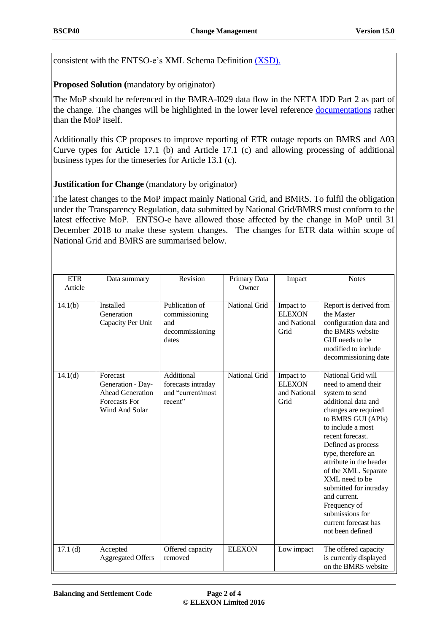consistent with the [ENTSO-e's XML Schema Definition](https://www.entsoe.eu/data/entso-e-transparency-platform/Data-Providers/Pages/default.aspx) [\(XSD\).](https://www.entsoe.eu/data/entso-e-transparency-platform/Data-Providers/Pages/default.aspx)

## **Proposed Solution (**mandatory by originator)

The MoP should be referenced in the BMRA-I029 data flow in the NETA IDD Part 2 as part of the change. The changes will be highlighted in the lower level reference [documentations](https://www.entsoe.eu/data/entso-e-transparency-platform/Data-Providers/Pages/default.aspx) rather than the MoP itself.

Additionally this CP proposes to improve reporting of ETR outage reports on BMRS and A03 Curve types for Article 17.1 (b) and Article 17.1 (c) and allowing processing of additional business types for the timeseries for Article 13.1 (c).

## **Justification for Change** (mandatory by originator)

The latest changes to the MoP impact mainly National Grid, and BMRS. To fulfil the obligation under the Transparency Regulation, data submitted by National Grid/BMRS must conform to the latest effective MoP. ENTSO-e have allowed those affected by the change in MoP until 31 December 2018 to make these system changes. The changes for ETR data within scope of National Grid and BMRS are summarised below.

| <b>ETR</b><br>Article | Data summary                                                                                       | Revision                                                           | Primary Data<br>Owner | Impact                                             | <b>Notes</b>                                                                                                                                                                                                                                                                                                                                                                                                        |
|-----------------------|----------------------------------------------------------------------------------------------------|--------------------------------------------------------------------|-----------------------|----------------------------------------------------|---------------------------------------------------------------------------------------------------------------------------------------------------------------------------------------------------------------------------------------------------------------------------------------------------------------------------------------------------------------------------------------------------------------------|
| 14.1(b)               | <b>Installed</b><br>Generation<br>Capacity Per Unit                                                | Publication of<br>commissioning<br>and<br>decommissioning<br>dates | National Grid         | Impact to<br><b>ELEXON</b><br>and National<br>Grid | Report is derived from<br>the Master<br>configuration data and<br>the BMRS website<br>GUI needs to be<br>modified to include<br>decommissioning date                                                                                                                                                                                                                                                                |
| 14.1(d)               | Forecast<br>Generation - Day-<br><b>Ahead Generation</b><br><b>Forecasts For</b><br>Wind And Solar | Additional<br>forecasts intraday<br>and "current/most<br>recent"   | National Grid         | Impact to<br><b>ELEXON</b><br>and National<br>Grid | National Grid will<br>need to amend their<br>system to send<br>additional data and<br>changes are required<br>to BMRS GUI (APIs)<br>to include a most<br>recent forecast.<br>Defined as process<br>type, therefore an<br>attribute in the header<br>of the XML. Separate<br>XML need to be<br>submitted for intraday<br>and current.<br>Frequency of<br>submissions for<br>current forecast has<br>not been defined |
| 17.1(d)               | Accepted<br><b>Aggregated Offers</b>                                                               | Offered capacity<br>removed                                        | <b>ELEXON</b>         | Low impact                                         | The offered capacity<br>is currently displayed<br>on the BMRS website                                                                                                                                                                                                                                                                                                                                               |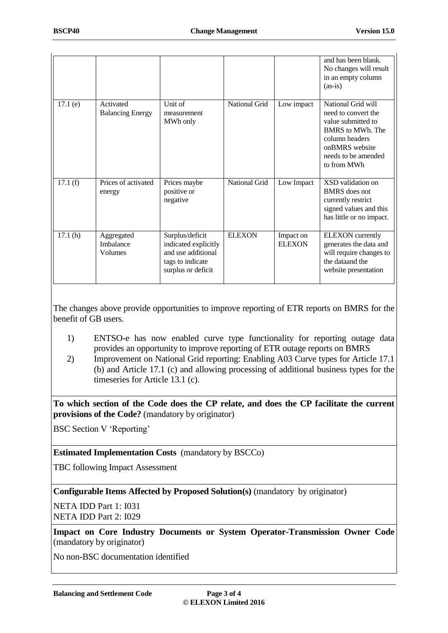|         |                                      |                                                                                                         |               |                            | and has been blank.<br>No changes will result<br>in an empty column<br>$(as-is)$                                                                                     |
|---------|--------------------------------------|---------------------------------------------------------------------------------------------------------|---------------|----------------------------|----------------------------------------------------------------------------------------------------------------------------------------------------------------------|
| 17.1(e) | Activated<br><b>Balancing Energy</b> | Unit of<br>measurement<br>MWh only                                                                      | National Grid | Low impact                 | National Grid will<br>need to convert the<br>value submitted to<br><b>BMRS</b> to MWh. The<br>column headers<br>onBMRS website<br>needs to be amended<br>to from MWh |
| 17.1(f) | Prices of activated<br>energy        | Prices maybe<br>positive or<br>negative                                                                 | National Grid | Low Impact                 | XSD validation on<br><b>BMRS</b> does not<br>currently restrict<br>signed values and this<br>has little or no impact.                                                |
| 17.1(h) | Aggregated<br>Imbalance<br>Volumes   | Surplus/deficit<br>indicated explicitly<br>and use additional<br>tags to indicate<br>surplus or deficit | <b>ELEXON</b> | Impact on<br><b>ELEXON</b> | <b>ELEXON</b> currently<br>generates the data and<br>will require changes to<br>the data and the<br>website presentation                                             |

The changes above provide opportunities to improve reporting of ETR reports on BMRS for the benefit of GB users.

- 1) ENTSO-e has now enabled curve type functionality for reporting outage data provides an opportunity to improve reporting of ETR outage reports on BMRS
- 2) Improvement on National Grid reporting: Enabling A03 Curve types for Article 17.1 (b) and Article 17.1 (c) and allowing processing of additional business types for the timeseries for Article 13.1 (c).

**To which section of the Code does the CP relate, and does the CP facilitate the current provisions of the Code?** (mandatory by originator)

BSC Section V 'Reporting'

### **Estimated Implementation Costs** (mandatory by BSCCo)

TBC following Impact Assessment

**Configurable Items Affected by Proposed Solution(s)** (mandatory by originator)

NETA IDD Part 1: I031 NETA IDD Part 2: I029

**Impact on Core Industry Documents or System Operator-Transmission Owner Code**  (mandatory by originator)

No non-BSC documentation identified